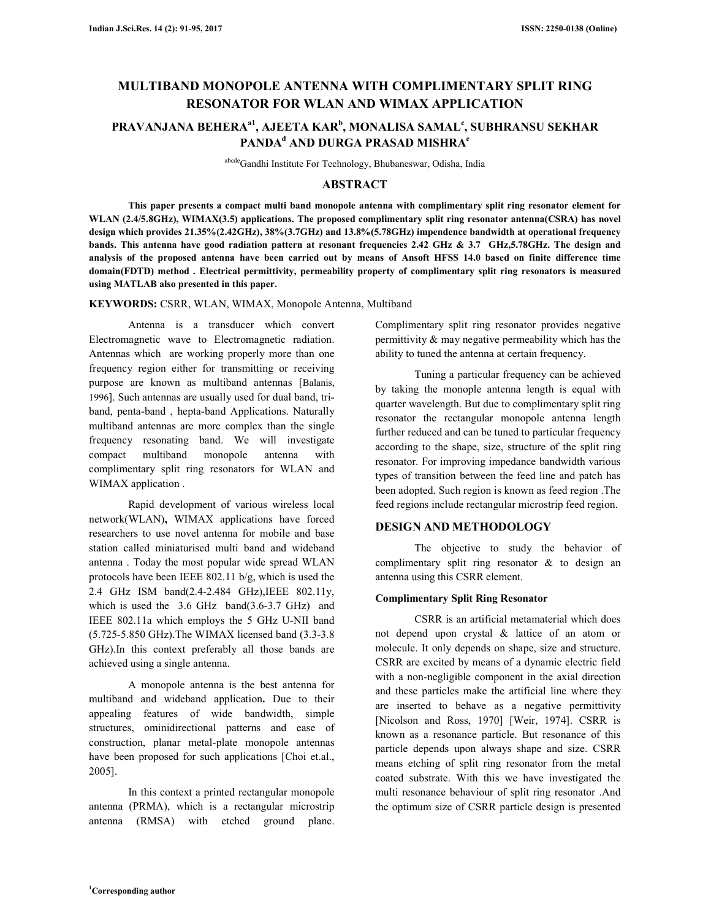# **MULTIBAND MONOPOLE ANTENNA WITH COMPLIMENTARY SPLIT RING RESONATOR FOR WLAN AND WIMAX APPLICATION**

## **PRAVANJANA BEHERAa1, AJEETA KAR<sup>b</sup> , MONALISA SAMAL<sup>c</sup> , SUBHRANSU SEKHAR**   $\mathbf{PANDA}^\mathbf{d}$  and durga prasad mishra $\mathbf{P}$

abcdeGandhi Institute For Technology, Bhubaneswar, Odisha, India

#### **ABSTRACT**

 **This paper presents a compact multi band monopole antenna with complimentary split ring resonator element for WLAN (2.4/5.8GHz), WIMAX(3.5) applications. The proposed complimentary split ring resonator antenna(CSRA) has novel design which provides 21.35%(2.42GHz), 38%(3.7GHz) and 13.8%(5.78GHz) impendence bandwidth at operational frequency bands. This antenna have good radiation pattern at resonant frequencies 2.42 GHz & 3.7 GHz,5.78GHz. The design and analysis of the proposed antenna have been carried out by means of Ansoft HFSS 14.0 based on finite difference time domain(FDTD) method . Electrical permittivity, permeability property of complimentary split ring resonators is measured using MATLAB also presented in this paper.** 

**KEYWORDS:** CSRR, WLAN, WIMAX, Monopole Antenna, Multiband

 Antenna is a transducer which convert Electromagnetic wave to Electromagnetic radiation. Antennas which are working properly more than one frequency region either for transmitting or receiving purpose are known as multiband antennas [Balanis, 1996]. Such antennas are usually used for dual band, triband, penta-band , hepta-band Applications. Naturally multiband antennas are more complex than the single frequency resonating band. We will investigate compact multiband monopole antenna with complimentary split ring resonators for WLAN and WIMAX application.

 Rapid development of various wireless local network(WLAN)**,** WIMAX applications have forced researchers to use novel antenna for mobile and base station called miniaturised multi band and wideband antenna . Today the most popular wide spread WLAN protocols have been IEEE 802.11 b/g, which is used the 2.4 GHz ISM band(2.4-2.484 GHz),IEEE 802.11y, which is used the 3.6 GHz band(3.6-3.7 GHz) and IEEE 802.11a which employs the 5 GHz U-NII band (5.725-5.850 GHz).The WIMAX licensed band (3.3-3.8 GHz).In this context preferably all those bands are achieved using a single antenna.

 A monopole antenna is the best antenna for multiband and wideband application**.** Due to their appealing features of wide bandwidth, simple structures, ominidirectional patterns and ease of construction, planar metal-plate monopole antennas have been proposed for such applications [Choi et.al., 2005].

 In this context a printed rectangular monopole antenna (PRMA), which is a rectangular microstrip antenna (RMSA) with etched ground plane. Complimentary split ring resonator provides negative permittivity & may negative permeability which has the ability to tuned the antenna at certain frequency.

 Tuning a particular frequency can be achieved by taking the monople antenna length is equal with quarter wavelength. But due to complimentary split ring resonator the rectangular monopole antenna length further reduced and can be tuned to particular frequency according to the shape, size, structure of the split ring resonator. For improving impedance bandwidth various types of transition between the feed line and patch has been adopted. Such region is known as feed region .The feed regions include rectangular microstrip feed region.

### **DESIGN AND METHODOLOGY**

 The objective to study the behavior of complimentary split ring resonator & to design an antenna using this CSRR element.

#### **Complimentary Split Ring Resonator**

 CSRR is an artificial metamaterial which does not depend upon crystal & lattice of an atom or molecule. It only depends on shape, size and structure. CSRR are excited by means of a dynamic electric field with a non-negligible component in the axial direction and these particles make the artificial line where they are inserted to behave as a negative permittivity [Nicolson and Ross, 1970] [Weir, 1974]. CSRR is known as a resonance particle. But resonance of this particle depends upon always shape and size. CSRR means etching of split ring resonator from the metal coated substrate. With this we have investigated the multi resonance behaviour of split ring resonator .And the optimum size of CSRR particle design is presented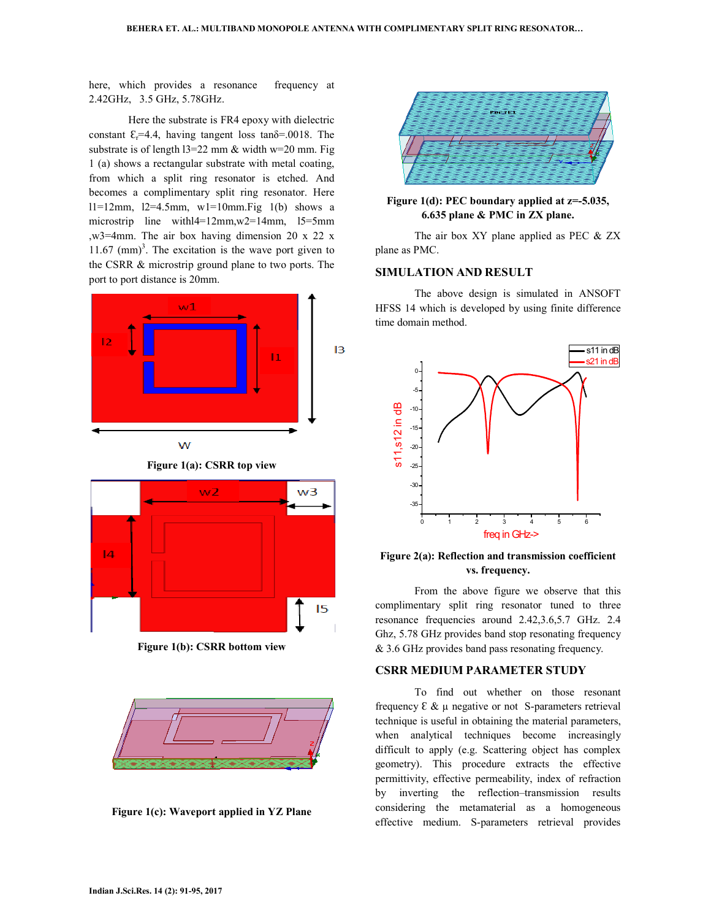here, which provides a resonance frequency at 2.42GHz, 3.5 GHz, 5.78GHz.

 Here the substrate is FR4 epoxy with dielectric constant  $\mathcal{E}_r$ =4.4, having tangent loss tan $\delta$ =.0018. The substrate is of length  $13=22$  mm & width w=20 mm. Fig. 1 (a) shows a rectangular substrate with metal coating, from which a split ring resonator is etched. And becomes a complimentary split ring resonator. Here  $11=12$ mm,  $12=4.5$ mm,  $w1=10$ mm.Fig  $1(b)$  shows a microstrip line with l<sup>4=12mm</sup>, w<sup>2=14mm</sup>, l<sup>5=5mm</sup> ,w3=4mm. The air box having dimension 20 x 22 x  $11.67$  (mm)<sup>3</sup>. The excitation is the wave port given to the CSRR & microstrip ground plane to two ports. The port to port distance is 20mm.





**Figure 1(b): CSRR bottom view** 



**Figure 1(c): Waveport applied in YZ Plane** 



**Figure 1(d): PEC boundary applied at z=-5.035, 6.635 plane & PMC in ZX plane.** 

The air box XY plane applied as PEC & ZX plane as PMC.

#### **SIMULATION AND RESULT**

 The above design is simulated in ANSOFT HFSS 14 which is developed by using finite difference time domain method.



**Figure 2(a): Reflection and transmission coefficient vs. frequency.** 

 From the above figure we observe that this complimentary split ring resonator tuned to three resonance frequencies around 2.42,3.6,5.7 GHz. 2.4 Ghz, 5.78 GHz provides band stop resonating frequency & 3.6 GHz provides band pass resonating frequency.

## **CSRR MEDIUM PARAMETER STUDY**

 To find out whether on those resonant frequency  $\epsilon \& \mu$  negative or not S-parameters retrieval technique is useful in obtaining the material parameters, when analytical techniques become increasingly difficult to apply (e.g. Scattering object has complex geometry). This procedure extracts the effective permittivity, effective permeability, index of refraction by inverting the reflection–transmission results considering the metamaterial as a homogeneous effective medium. S-parameters retrieval provides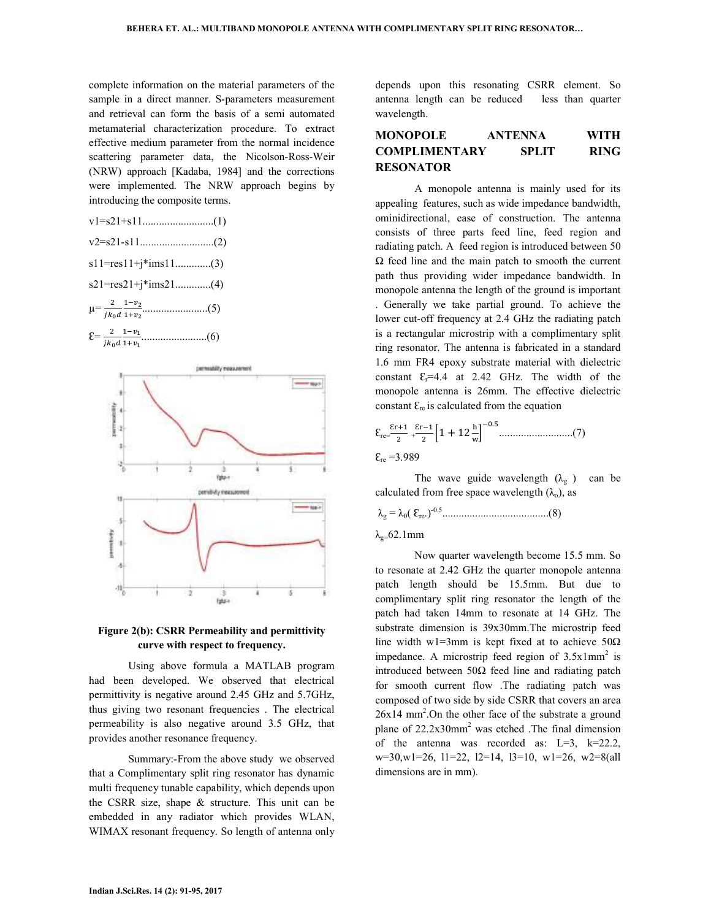complete information on the material parameters of the sample in a direct manner. S-parameters measurement and retrieval can form the basis of a semi automated metamaterial characterization procedure. To extract effective medium parameter from the normal incidence scattering parameter data, the Nicolson-Ross-Weir (NRW) approach [Kadaba, 1984] and the corrections were implemented. The NRW approach begins by introducing the composite terms.

$$
v1=s21+s11
$$
\n...
$$
v2=s21-s11
$$
\n...
$$
v2=21-s11
$$
\n...
$$
v2
$$
\n
$$
s11=res11+j*ims11
$$
\n...
$$
s21=res21+j*ims21
$$
\n...
$$
u4
$$
\n
$$
\mu = \frac{2}{jk_0d} \frac{1-v_2}{1+v_2}
$$
\n...
$$
s2
$$
\n
$$
g = \frac{2}{1+v_1}
$$
\n...
$$
v6
$$

Ɛ= - 



#### **Figure 2(b): CSRR Permeability and permittivity curve with respect to frequency.**

 Using above formula a MATLAB program had been developed. We observed that electrical permittivity is negative around 2.45 GHz and 5.7GHz, thus giving two resonant frequencies . The electrical permeability is also negative around 3.5 GHz, that provides another resonance frequency.

 Summary:-From the above study we observed that a Complimentary split ring resonator has dynamic multi frequency tunable capability, which depends upon the CSRR size, shape & structure. This unit can be embedded in any radiator which provides WLAN, WIMAX resonant frequency. So length of antenna only depends upon this resonating CSRR element. So antenna length can be reduced less than quarter wavelength.

## **MONOPOLE ANTENNA WITH COMPLIMENTARY SPLIT RING RESONATOR**

 A monopole antenna is mainly used for its appealing features, such as wide impedance bandwidth, ominidirectional, ease of construction. The antenna consists of three parts feed line, feed region and radiating patch. A feed region is introduced between 50  $\Omega$  feed line and the main patch to smooth the current path thus providing wider impedance bandwidth. In monopole antenna the length of the ground is important . Generally we take partial ground. To achieve the lower cut-off frequency at 2.4 GHz the radiating patch is a rectangular microstrip with a complimentary split ring resonator. The antenna is fabricated in a standard 1.6 mm FR4 epoxy substrate material with dielectric constant  $\mathcal{E}_r$ =4.4 at 2.42 GHz. The width of the monopole antenna is 26mm. The effective dielectric constant  $\mathcal{E}_{\text{re}}$  is calculated from the equation

Ɛre= Ɛ + Ɛ 1 + 12 . ...........................(7) Ɛre =3.989

The wave guide wavelength  $(\lambda_g)$  can be calculated from free space wavelength  $(\lambda_0)$ , as

λg = λ0( Ɛre.)-0.5.......................................(8)

 $λ<sub>0</sub>=62.1mm$ 

 Now quarter wavelength become 15.5 mm. So to resonate at 2.42 GHz the quarter monopole antenna patch length should be 15.5mm. But due to complimentary split ring resonator the length of the patch had taken 14mm to resonate at 14 GHz. The substrate dimension is 39x30mm.The microstrip feed line width w1=3mm is kept fixed at to achieve  $50\Omega$ impedance. A microstrip feed region of  $3.5x1mm^2$  is introduced between 50Ω feed line and radiating patch for smooth current flow .The radiating patch was composed of two side by side CSRR that covers an area  $26x14$  mm<sup>2</sup>. On the other face of the substrate a ground plane of 22.2x30mm<sup>2</sup> was etched .The final dimension of the antenna was recorded as:  $L=3$ ,  $k=22.2$ , w=30,w1=26, l1=22, l2=14, l3=10, w1=26, w2=8(all dimensions are in mm).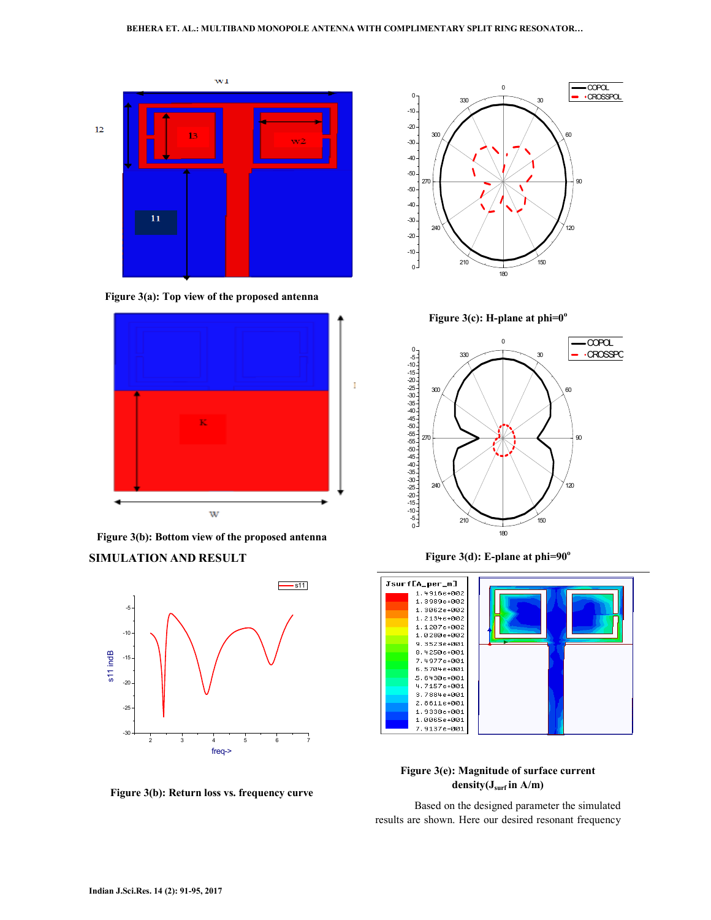





**Figure 3(b): Bottom view of the proposed antenna** 

### **SIMULATION AND RESULT**



**Figure 3(b): Return loss vs. frequency curve** 



**Figure 3(c): H-plane at phi=0<sup>o</sup>**



**Figure 3(d): E-plane at phi=90<sup>o</sup>**



## **Figure 3(e): Magnitude of surface current density(Jsurf in A/m)**

 Based on the designed parameter the simulated results are shown. Here our desired resonant frequency